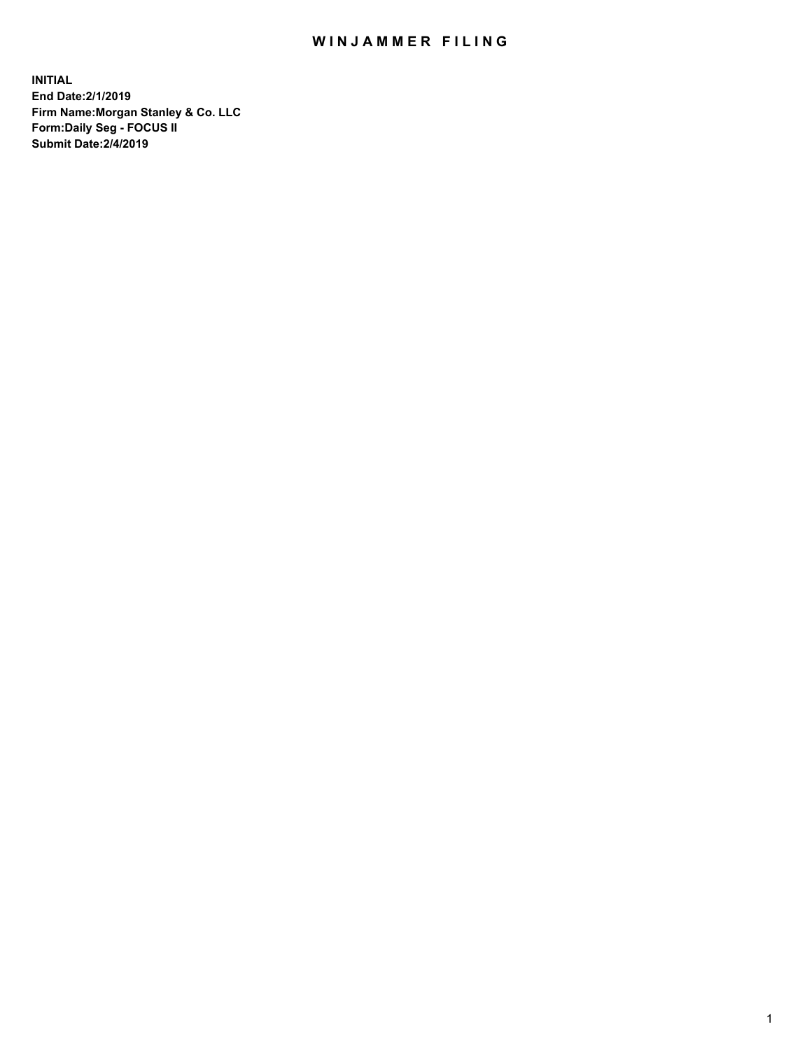## WIN JAMMER FILING

**INITIAL End Date:2/1/2019 Firm Name:Morgan Stanley & Co. LLC Form:Daily Seg - FOCUS II Submit Date:2/4/2019**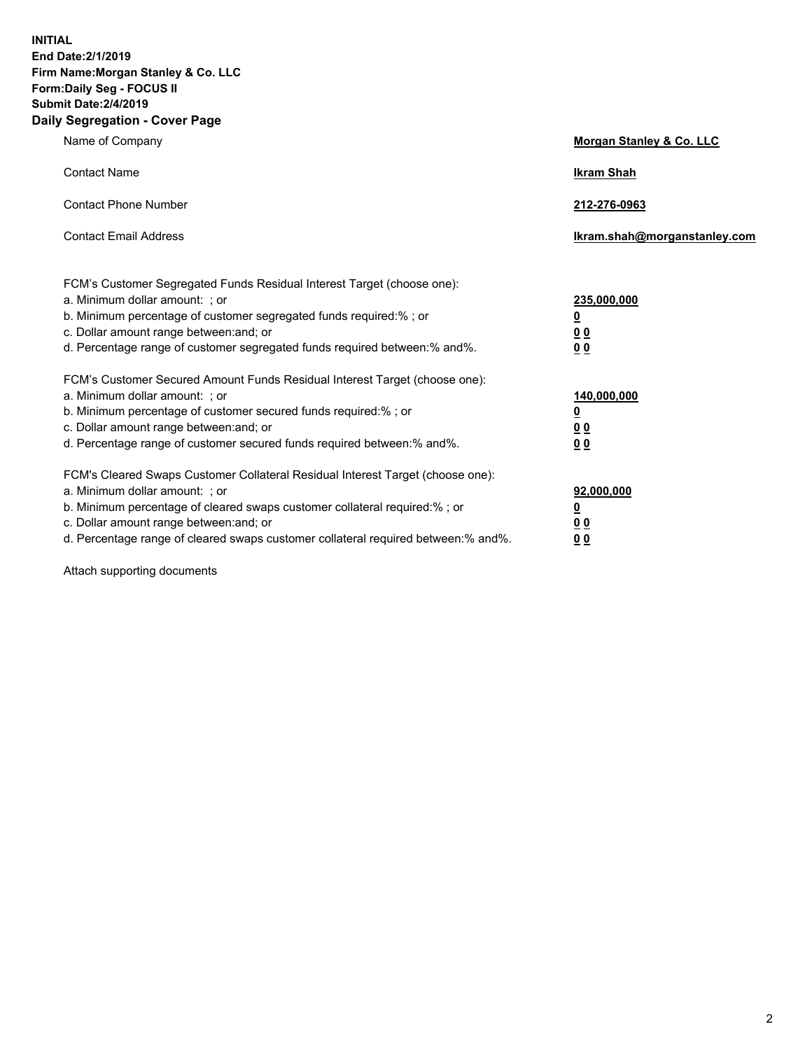**INITIAL End Date:2/1/2019 Firm Name:Morgan Stanley & Co. LLC Form:Daily Seg - FOCUS II Submit Date:2/4/2019 Daily Segregation - Cover Page**

| Name of Company                                                                                                                                                                                                                                                                                                                | Morgan Stanley & Co. LLC                                    |
|--------------------------------------------------------------------------------------------------------------------------------------------------------------------------------------------------------------------------------------------------------------------------------------------------------------------------------|-------------------------------------------------------------|
| <b>Contact Name</b>                                                                                                                                                                                                                                                                                                            | <b>Ikram Shah</b>                                           |
| <b>Contact Phone Number</b>                                                                                                                                                                                                                                                                                                    | 212-276-0963                                                |
| <b>Contact Email Address</b>                                                                                                                                                                                                                                                                                                   | Ikram.shah@morganstanley.com                                |
| FCM's Customer Segregated Funds Residual Interest Target (choose one):<br>a. Minimum dollar amount: ; or<br>b. Minimum percentage of customer segregated funds required:% ; or<br>c. Dollar amount range between: and; or<br>d. Percentage range of customer segregated funds required between:% and%.                         | 235,000,000<br><u>0</u><br>0 <sub>0</sub><br>00             |
| FCM's Customer Secured Amount Funds Residual Interest Target (choose one):<br>a. Minimum dollar amount: ; or<br>b. Minimum percentage of customer secured funds required:% ; or<br>c. Dollar amount range between: and; or<br>d. Percentage range of customer secured funds required between:% and%.                           | 140,000,000<br><u>0</u><br>0 <sub>0</sub><br>0 <sub>0</sub> |
| FCM's Cleared Swaps Customer Collateral Residual Interest Target (choose one):<br>a. Minimum dollar amount: ; or<br>b. Minimum percentage of cleared swaps customer collateral required:% ; or<br>c. Dollar amount range between: and; or<br>d. Percentage range of cleared swaps customer collateral required between:% and%. | 92,000,000<br><u>0</u><br>0 Q<br>0 <sub>0</sub>             |

Attach supporting documents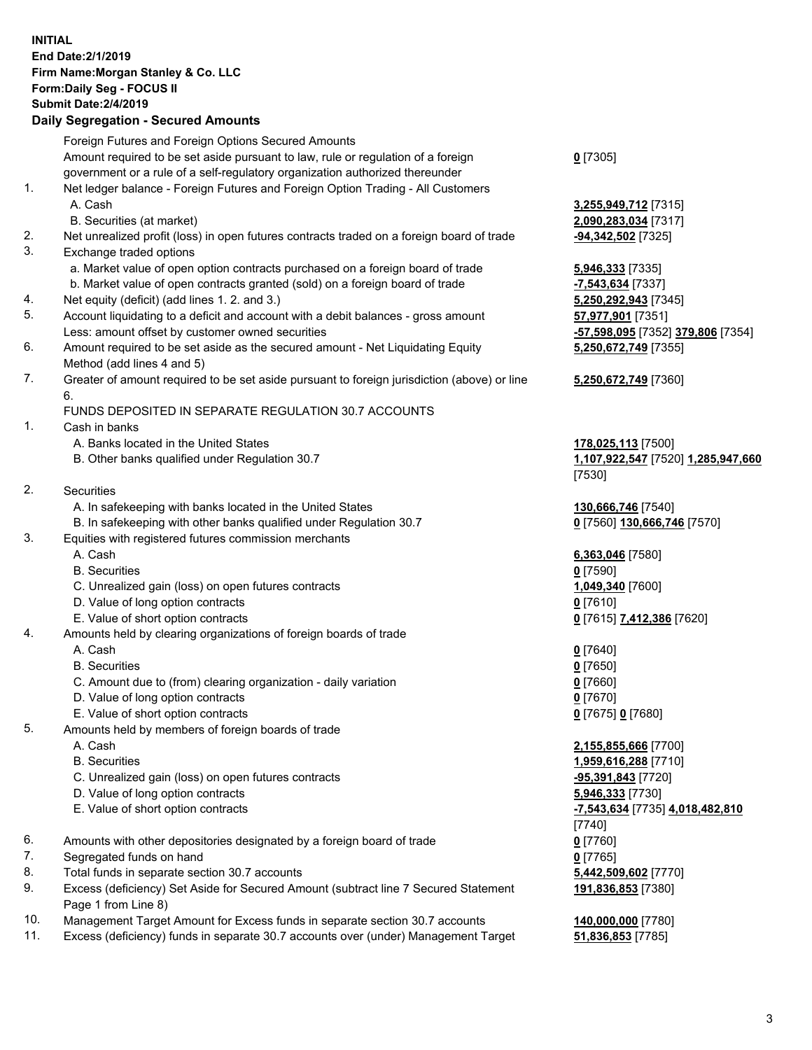## **INITIAL End Date:2/1/2019 Firm Name:Morgan Stanley & Co. LLC Form:Daily Seg - FOCUS II Submit Date:2/4/2019 Daily Segregation - Secured Amounts**

Foreign Futures and Foreign Options Secured Amounts

- Amount required to be set aside pursuant to law, rule or regulation of a foreign government or a rule of a self-regulatory organization authorized thereunder
- 1. Net ledger balance Foreign Futures and Foreign Option Trading All Customers A. Cash **3,255,949,712** [7315]
	- B. Securities (at market) **2,090,283,034** [7317]
- 2. Net unrealized profit (loss) in open futures contracts traded on a foreign board of trade **-94,342,502** [7325]
- 3. Exchange traded options
	- a. Market value of open option contracts purchased on a foreign board of trade **5,946,333** [7335]
	- b. Market value of open contracts granted (sold) on a foreign board of trade **-7,543,634** [7337]
- 4. Net equity (deficit) (add lines 1. 2. and 3.) **5,250,292,943** [7345]
- 5. Account liquidating to a deficit and account with a debit balances gross amount **57,977,901** [7351] Less: amount offset by customer owned securities **-57,598,095** [7352] **379,806** [7354]
- 6. Amount required to be set aside as the secured amount Net Liquidating Equity Method (add lines 4 and 5)
- 7. Greater of amount required to be set aside pursuant to foreign jurisdiction (above) or line 6.

## FUNDS DEPOSITED IN SEPARATE REGULATION 30.7 ACCOUNTS

1. Cash in banks

- A. Banks located in the United States **178,025,113** [7500]
- B. Other banks qualified under Regulation 30.7 **1,107,922,547** [7520] **1,285,947,660**
- 2. Securities
	- A. In safekeeping with banks located in the United States **130,666,746** [7540]
- B. In safekeeping with other banks qualified under Regulation 30.7 **0** [7560] **130,666,746** [7570]
- 3. Equities with registered futures commission merchants
	-
	- B. Securities **0** [7590]
	- C. Unrealized gain (loss) on open futures contracts **1,049,340** [7600]
	- D. Value of long option contracts **0** [7610]
	- E. Value of short option contracts **0** [7615] **7,412,386** [7620]
- 4. Amounts held by clearing organizations of foreign boards of trade
	- A. Cash **0** [7640]
	- B. Securities **0** [7650]
	- C. Amount due to (from) clearing organization daily variation **0** [7660]
	- D. Value of long option contracts **0** [7670]
	- E. Value of short option contracts **0** [7675] **0** [7680]
- 5. Amounts held by members of foreign boards of trade
	-
	-
	- C. Unrealized gain (loss) on open futures contracts **-95,391,843** [7720]
	- D. Value of long option contracts **5,946,333** [7730]
	- E. Value of short option contracts **-7,543,634** [7735] **4,018,482,810**
- 6. Amounts with other depositories designated by a foreign board of trade **0** [7760]
- 7. Segregated funds on hand **0** [7765]
- 8. Total funds in separate section 30.7 accounts **5,442,509,602** [7770]
- 9. Excess (deficiency) Set Aside for Secured Amount (subtract line 7 Secured Statement Page 1 from Line 8)
- 10. Management Target Amount for Excess funds in separate section 30.7 accounts **140,000,000** [7780]
- 11. Excess (deficiency) funds in separate 30.7 accounts over (under) Management Target **51,836,853** [7785]

**0** [7305]

**5,250,672,749** [7355]

## **5,250,672,749** [7360]

[7530]

A. Cash **6,363,046** [7580]

 A. Cash **2,155,855,666** [7700] B. Securities **1,959,616,288** [7710] [7740] **191,836,853** [7380]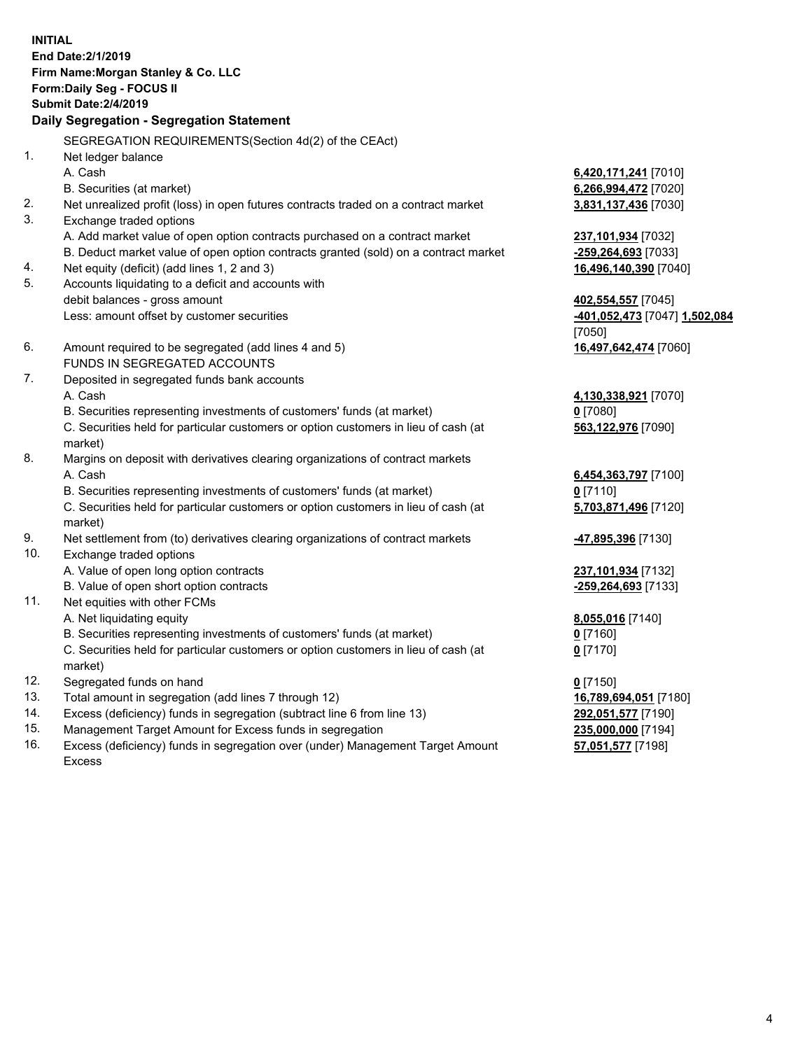**INITIAL End Date:2/1/2019 Firm Name:Morgan Stanley & Co. LLC Form:Daily Seg - FOCUS II Submit Date:2/4/2019 Daily Segregation - Segregation Statement** SEGREGATION REQUIREMENTS(Section 4d(2) of the CEAct) 1. Net ledger balance A. Cash **6,420,171,241** [7010] B. Securities (at market) **6,266,994,472** [7020] 2. Net unrealized profit (loss) in open futures contracts traded on a contract market **3,831,137,436** [7030] 3. Exchange traded options A. Add market value of open option contracts purchased on a contract market **237,101,934** [7032] B. Deduct market value of open option contracts granted (sold) on a contract market **-259,264,693** [7033] 4. Net equity (deficit) (add lines 1, 2 and 3) **16,496,140,390** [7040] 5. Accounts liquidating to a deficit and accounts with debit balances - gross amount **402,554,557** [7045] Less: amount offset by customer securities **-401,052,473** [7047] **1,502,084** [7050] 6. Amount required to be segregated (add lines 4 and 5) **16,497,642,474** [7060] FUNDS IN SEGREGATED ACCOUNTS 7. Deposited in segregated funds bank accounts A. Cash **4,130,338,921** [7070] B. Securities representing investments of customers' funds (at market) **0** [7080] C. Securities held for particular customers or option customers in lieu of cash (at market) **563,122,976** [7090] 8. Margins on deposit with derivatives clearing organizations of contract markets A. Cash **6,454,363,797** [7100] B. Securities representing investments of customers' funds (at market) **0** [7110] C. Securities held for particular customers or option customers in lieu of cash (at market) **5,703,871,496** [7120] 9. Net settlement from (to) derivatives clearing organizations of contract markets **-47,895,396** [7130] 10. Exchange traded options A. Value of open long option contracts **237,101,934** [7132] B. Value of open short option contracts **-259,264,693** [7133] 11. Net equities with other FCMs A. Net liquidating equity **8,055,016** [7140] B. Securities representing investments of customers' funds (at market) **0** [7160] C. Securities held for particular customers or option customers in lieu of cash (at market) **0** [7170] 12. Segregated funds on hand **0** [7150] 13. Total amount in segregation (add lines 7 through 12) **16,789,694,051** [7180] 14. Excess (deficiency) funds in segregation (subtract line 6 from line 13) **292,051,577** [7190]

- 15. Management Target Amount for Excess funds in segregation **235,000,000** [7194]
- 16. Excess (deficiency) funds in segregation over (under) Management Target Amount Excess

**57,051,577** [7198]